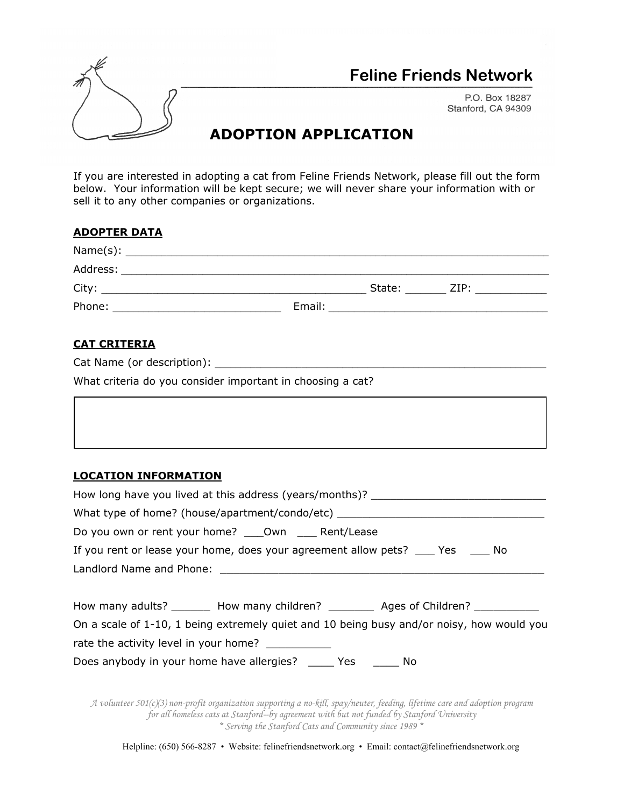

## **Feline Friends Network**

P.O. Box 18287 Stanford, CA 94309

## **ADOPTION APPLICATION**

If you are interested in adopting a cat from Feline Friends Network, please fill out the form below. Your information will be kept secure; we will never share your information with or sell it to any other companies or organizations.

| <b>ADOPTER DATA</b> |        |        |      |
|---------------------|--------|--------|------|
|                     |        |        |      |
| Address:            |        |        |      |
| City:               |        | State: | ZIP: |
| Phone:              | Email: |        |      |

## **CAT CRITERIA**

|  | Cat Name (or description): |  |
|--|----------------------------|--|
|--|----------------------------|--|

What criteria do you consider important in choosing a cat?

## **LOCATION INFORMATION**

| How long have you lived at this address (years/months)?                                   |  |  |  |  |  |
|-------------------------------------------------------------------------------------------|--|--|--|--|--|
| What type of home? (house/apartment/condo/etc) _________________________________          |  |  |  |  |  |
| Do you own or rent your home? _____ Own ______ Rent/Lease                                 |  |  |  |  |  |
| If you rent or lease your home, does your agreement allow pets? ____ Yes _____ No         |  |  |  |  |  |
|                                                                                           |  |  |  |  |  |
|                                                                                           |  |  |  |  |  |
| How many adults? _________ How many children? ___________ Ages of Children? ____________  |  |  |  |  |  |
| On a scale of 1-10, 1 being extremely quiet and 10 being busy and/or noisy, how would you |  |  |  |  |  |
|                                                                                           |  |  |  |  |  |
| Does anybody in your home have allergies? ______ Yes _______ No                           |  |  |  |  |  |
|                                                                                           |  |  |  |  |  |

*A volunteer 501(c)(3) non-profit organization supporting a no-kill, spay/neuter, feeding, lifetime care and adoption program for all homeless cats at Stanford--by agreement with but not funded by Stanford University \* Serving the Stanford Cats and Community since 1989 \**

Helpline: (650) 566-8287 • Website: felinefriendsnetwork.org • Email: contact@felinefriendsnetwork.org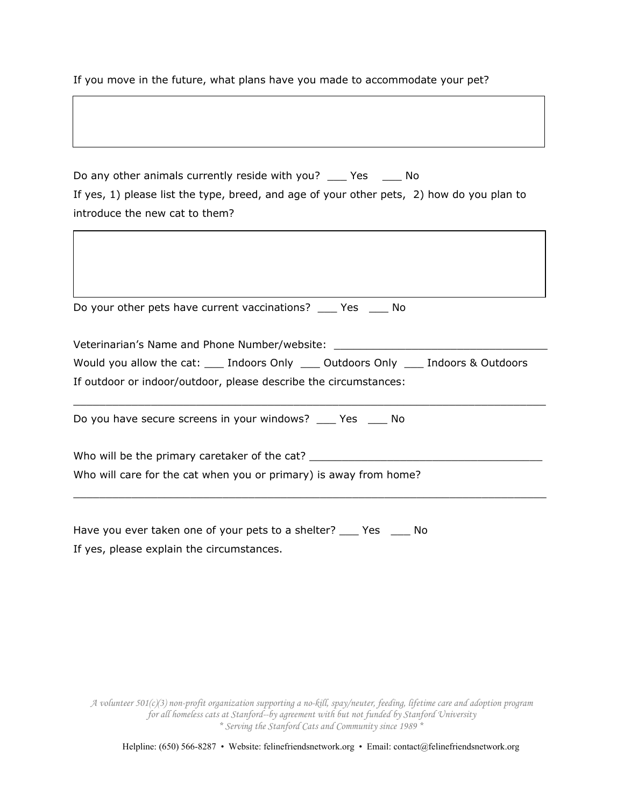If you move in the future, what plans have you made to accommodate your pet?

Do any other animals currently reside with you? \_\_\_ Yes \_\_\_ No If yes, 1) please list the type, breed, and age of your other pets, 2) how do you plan to introduce the new cat to them?

| Do you have secure screens in your windows? _____ Yes _____ No                        |                                               |  |  |  |
|---------------------------------------------------------------------------------------|-----------------------------------------------|--|--|--|
| If outdoor or indoor/outdoor, please describe the circumstances:                      |                                               |  |  |  |
| Would you allow the cat: ____ Indoors Only ____ Outdoors Only ____ Indoors & Outdoors |                                               |  |  |  |
|                                                                                       | Veterinarian's Name and Phone Number/website: |  |  |  |
| Do your other pets have current vaccinations? _____ Yes ______ No                     |                                               |  |  |  |

Have you ever taken one of your pets to a shelter? \_\_\_ Yes \_\_\_ No If yes, please explain the circumstances.

*A volunteer 501(c)(3) non-profit organization supporting a no-kill, spay/neuter, feeding, lifetime care and adoption program for all homeless cats at Stanford--by agreement with but not funded by Stanford University \* Serving the Stanford Cats and Community since 1989 \**

Helpline: (650) 566-8287 • Website: felinefriendsnetwork.org • Email: contact@felinefriendsnetwork.org